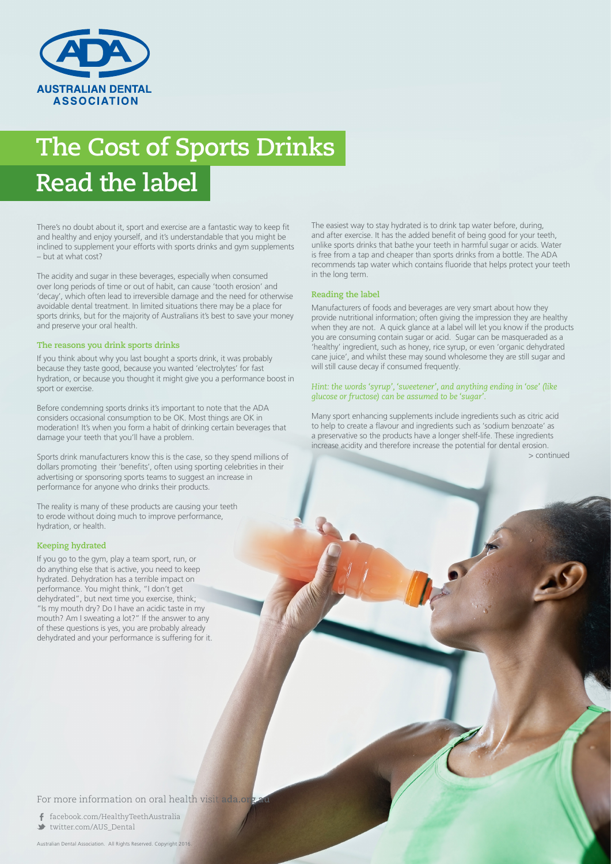

# **The Cost of Sports Drinks Read the label**

There's no doubt about it, sport and exercise are a fantastic way to keep fit and healthy and enjoy yourself, and it's understandable that you might be inclined to supplement your efforts with sports drinks and gym supplements – but at what cost?

The acidity and sugar in these beverages, especially when consumed over long periods of time or out of habit, can cause 'tooth erosion' and 'decay', which often lead to irreversible damage and the need for otherwise avoidable dental treatment. In limited situations there may be a place for sports drinks, but for the majority of Australians it's best to save your money and preserve your oral health.

### **The reasons you drink sports drinks**

If you think about why you last bought a sports drink, it was probably because they taste good, because you wanted 'electrolytes' for fast hydration, or because you thought it might give you a performance boost in sport or exercise.

Before condemning sports drinks it's important to note that the ADA considers occasional consumption to be OK. Most things are OK in moderation! It's when you form a habit of drinking certain beverages that damage your teeth that you'll have a problem.

Sports drink manufacturers know this is the case, so they spend millions of dollars promoting their 'benefits', often using sporting celebrities in their advertising or sponsoring sports teams to suggest an increase in performance for anyone who drinks their products.

The reality is many of these products are causing your teeth to erode without doing much to improve performance, hydration, or health.

#### **Keeping hydrated**

If you go to the gym, play a team sport, run, or do anything else that is active, you need to keep hydrated. Dehydration has a terrible impact on performance. You might think, "I don't get dehydrated", but next time you exercise, think; "Is my mouth dry? Do I have an acidic taste in my mouth? Am I sweating a lot?" If the answer to any of these questions is yes, you are probably already dehydrated and your performance is suffering for it. The easiest way to stay hydrated is to drink tap water before, during, and after exercise. It has the added benefit of being good for your teeth, unlike sports drinks that bathe your teeth in harmful sugar or acids. Water is free from a tap and cheaper than sports drinks from a bottle. The ADA recommends tap water which contains fluoride that helps protect your teeth in the long term.

#### **Reading the label**

Manufacturers of foods and beverages are very smart about how they provide nutritional information; often giving the impression they are healthy when they are not. A quick glance at a label will let you know if the products you are consuming contain sugar or acid. Sugar can be masqueraded as a 'healthy' ingredient, such as honey, rice syrup, or even 'organic dehydrated cane juice', and whilst these may sound wholesome they are still sugar and will still cause decay if consumed frequently.

#### *Hint: the words 'syrup', 'sweetener', and anything ending in 'ose' (like glucose or fructose) can be assumed to be 'sugar'.*

Many sport enhancing supplements include ingredients such as citric acid to help to create a flavour and ingredients such as 'sodium benzoate' as a preservative so the products have a longer shelf-life. These ingredients increase acidity and therefore increase the potential for dental erosion.

> continued

For more information on oral health visit ada.org

 facebook.com/HealthyTeethAustralia twitter.com/AUS\_Dental